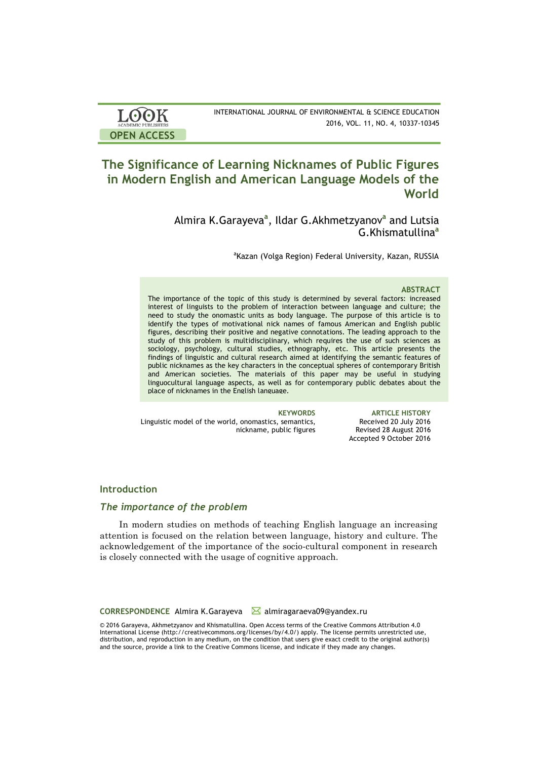| <b>LOOK</b>                | INTERNATIONAL JOURNAL OF ENVIRONMENTAL & SCIENCE EDUCATION |
|----------------------------|------------------------------------------------------------|
| <b>ACADEMIC PUBLISHERS</b> | 2016, VOL. 11, NO. 4, 10337-10345                          |
| <b>OPEN ACCESS</b>         |                                                            |

# **The Significance of Learning Nicknames of Public Figures in Modern English and American Language Models of the World**

Almira K.Garayeva**<sup>a</sup>** , Ildar G.Akhmetzyanov**<sup>a</sup>** and Lutsia G.Khismatullina**<sup>a</sup>**

<sup>a</sup>Kazan (Volga Region) Federal University, Kazan, RUSSIA

#### **ABSTRACT**

The importance of the topic of this study is determined by several factors: increased interest of linguists to the problem of interaction between language and culture; the need to study the onomastic units as body language. The purpose of this article is to identify the types of motivational nick names of famous American and English public figures, describing their positive and negative connotations. The leading approach to the study of this problem is multidisciplinary, which requires the use of such sciences as sociology, psychology, cultural studies, ethnography, etc. This article presents the findings of linguistic and cultural research aimed at identifying the semantic features of public nicknames as the key characters in the conceptual spheres of contemporary British and American societies. The materials of this paper may be useful in studying linguocultural language aspects, as well as for contemporary public debates about the place of nicknames in the English language.

Linguistic model of the world, onomastics, semantics, nickname, public figures

**KEYWORDS ARTICLE HISTORY** Received 20 July 2016 Revised 28 August 2016 Accepted 9 October 2016

# **Introduction**

### *The importance of the problem*

In modern studies on methods of teaching English language an increasing attention is focused on the relation between language, history and culture. The acknowledgement of the importance of the socio-cultural component in research is closely connected with the usage of cognitive approach.

**CORRESPONDENCE** Almira K.Garayeva **△** almiragaraeva09@yandex.ru

© 2016 Garayeva, Akhmetzyanov and Khismatullina. Open Access terms of the Creative Commons Attribution 4.0 International License (http://creativecommons.org/licenses/by/4.0/) apply. The license permits unrestricted use, distribution, and reproduction in any medium, on the condition that users give exact credit to the original author(s) and the source, provide a link to the Creative Commons license, and indicate if they made any changes.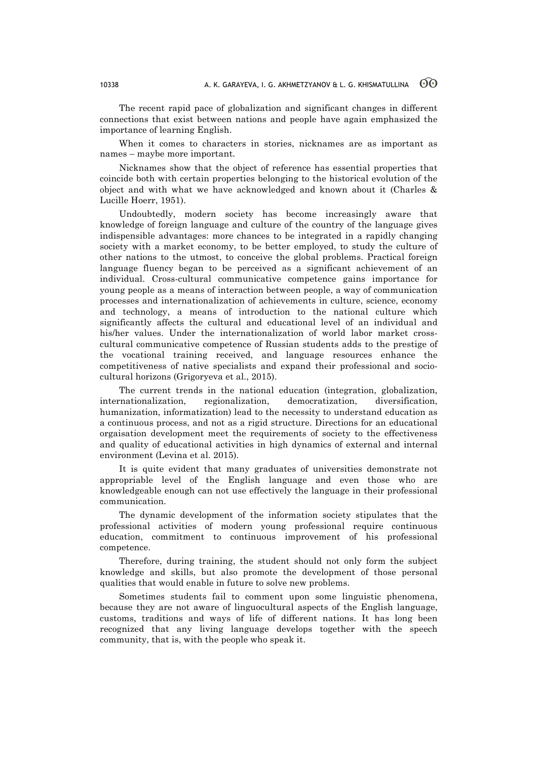The recent rapid pace of globalization and significant changes in different connections that exist between nations and people have again emphasized the importance of learning English.

When it comes to characters in stories, nicknames are as important as names – maybe more important.

Nicknames show that the object of reference has essential properties that coincide both with certain properties belonging to the historical evolution of the object and with what we have acknowledged and known about it (Charles & Lucille Hoerr, 1951).

Undoubtedly, modern society has become increasingly aware that knowledge of foreign language and culture of the country of the language gives indispensible advantages: more chances to be integrated in a rapidly changing society with a market economy, to be better employed, to study the culture of other nations to the utmost, to conceive the global problems. Practical foreign language fluency began to be perceived as a significant achievement of an individual. Cross-cultural communicative competence gains importance for young people as a means of interaction between people, a way of communication processes and internationalization of achievements in culture, science, economy and technology, a means of introduction to the national culture which significantly affects the cultural and educational level of an individual and his/her values. Under the internationalization of world labor market crosscultural communicative competence of Russian students adds to the prestige of the vocational training received, and language resources enhance the competitiveness of native specialists and expand their professional and sociocultural horizons (Grigoryeva et al., 2015).

The current trends in the national education (integration, globalization, internationalization, regionalization, democratization, diversification, humanization, informatization) lead to the necessity to understand education as a continuous process, and not as a rigid structure. Directions for an educational orgaisation development meet the requirements of society to the effectiveness and quality of educational activities in high dynamics of external and internal environment (Levina et al. 2015).

It is quite evident that many graduates of universities demonstrate not appropriable level of the English language and even those who are knowledgeable enough can not use effectively the language in their professional communication.

The dynamic development of the information society stipulates that the professional activities of modern young professional require continuous education, commitment to continuous improvement of his professional competence.

Therefore, during training, the student should not only form the subject knowledge and skills, but also promote the development of those personal qualities that would enable in future to solve new problems.

Sometimes students fail to comment upon some linguistic phenomena, because they are not aware of linguocultural aspects of the English language, customs, traditions and ways of life of different nations. It has long been recognized that any living language develops together with the speech community, that is, with the people who speak it.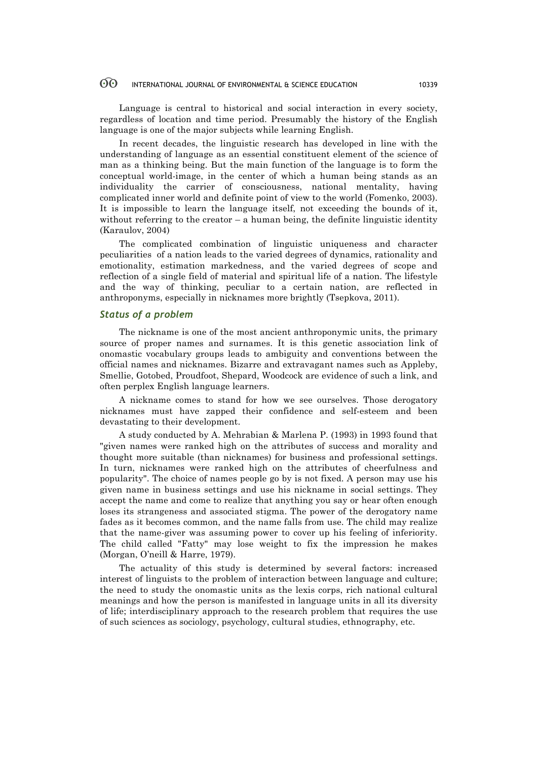#### $\odot$ INTERNATIONAL JOURNAL OF ENVIRONMENTAL & SCIENCE EDUCATION 10339

Language is central to historical and social interaction in every society, regardless of location and time period. Presumably the history of the English language is one of the major subjects while learning English.

In recent decades, the linguistic research has developed in line with the understanding of language as an essential constituent element of the science of man as a thinking being. But the main function of the language is to form the conceptual world-image, in the center of which a human being stands as an individuality the carrier of consciousness, national mentality, having complicated inner world and definite point of view to the world (Fomenko, 2003). It is impossible to learn the language itself, not exceeding the bounds of it, without referring to the creator  $-$  a human being, the definite linguistic identity (Karaulov, 2004)

The complicated combination of linguistic uniqueness and character peculiarities of a nation leads to the varied degrees of dynamics, rationality and emotionality, estimation markedness, and the varied degrees of scope and reflection of a single field of material and spiritual life of a nation. The lifestyle and the way of thinking, peculiar to a certain nation, are reflected in anthroponyms, especially in nicknames more brightly (Tsepkova, 2011).

# *Status of a problem*

The nickname is one of the most ancient anthroponymic units, the primary source of proper names and surnames. It is this genetic association link of onomastic vocabulary groups leads to ambiguity and conventions between the official names and nicknames. Bizarre and extravagant names such as Appleby, Smellie, Gotobed, Proudfoot, Shepard, Woodcock are evidence of such a link, and often perplex English language learners.

A nickname comes to stand for how we see ourselves. Those derogatory nicknames must have zapped their confidence and self-esteem and been devastating to their development.

A study conducted by A. Mehrabian & Marlena P. (1993) in 1993 found that "given names were ranked high on the attributes of success and morality and thought more suitable (than nicknames) for business and professional settings. In turn, nicknames were ranked high on the attributes of cheerfulness and popularity". The choice of names people go by is not fixed. A person may use his given name in business settings and use his nickname in social settings. They accept the name and come to realize that anything you say or hear often enough loses its strangeness and associated stigma. The power of the derogatory name fades as it becomes common, and the name falls from use. The child may realize that the name-giver was assuming power to cover up his feeling of inferiority. The child called "Fatty" may lose weight to fix the impression he makes (Morgan, O'neill & Harre, 1979).

The actuality of this study is determined by several factors: increased interest of linguists to the problem of interaction between language and culture; the need to study the onomastic units as the lexis corps, rich national cultural meanings and how the person is manifested in language units in all its diversity of life; interdisciplinary approach to the research problem that requires the use of such sciences as sociology, psychology, cultural studies, ethnography, etc.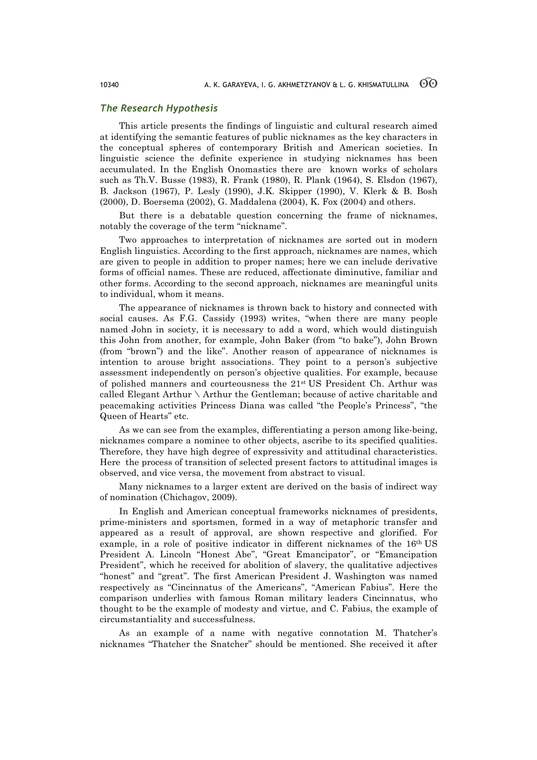### *The Research Hypothesis*

This article presents the findings of linguistic and cultural research aimed at identifying the semantic features of public nicknames as the key characters in the conceptual spheres of contemporary British and American societies. In linguistic science the definite experience in studying nicknames has been accumulated. In the English Onomastics there are known works of scholars such as Th.V. Busse (1983), R. Frank (1980), R. Plank (1964), S. Elsdon (1967), B. Jackson (1967), P. Lesly (1990), J.K. Skipper (1990), V. Klerk & B. Bosh (2000), D. Boersema (2002), G. Maddalena (2004), K. Fox (2004) and others.

But there is a debatable question concerning the frame of nicknames, notably the coverage of the term "nickname".

Two approaches to interpretation of nicknames are sorted out in modern English linguistics. According to the first approach, nicknames are names, which are given to people in addition to proper names; here we can include derivative forms of official names. These are reduced, affectionate diminutive, familiar and other forms. According to the second approach, nicknames are meaningful units to individual, whom it means.

The appearance of nicknames is thrown back to history and connected with social causes. As F.G. Cassidy (1993) writes, "when there are many people named John in society, it is necessary to add a word, which would distinguish this John from another, for example, John Baker (from "to bake"), John Brown (from "brown") and the like". Another reason of appearance of nicknames is intention to arouse bright associations. They point to a person's subjective assessment independently on person's objective qualities. For example, because of polished manners and courteousness the 21st US President Ch. Arthur was called Elegant Arthur  $\setminus$  Arthur the Gentleman; because of active charitable and peacemaking activities Princess Diana was called "the People's Princess", "the Queen of Hearts" etc.

As we can see from the examples, differentiating a person among like-being, nicknames compare a nominee to other objects, ascribe to its specified qualities. Therefore, they have high degree of expressivity and attitudinal characteristics. Here the process of transition of selected present factors to attitudinal images is observed, and vice versa, the movement from abstract to visual.

Many nicknames to a larger extent are derived on the basis of indirect way of nomination (Chichagov, 2009).

In English and American conceptual frameworks nicknames of presidents, prime-ministers and sportsmen, formed in a way of metaphoric transfer and appeared as a result of approval, are shown respective and glorified. For example, in a role of positive indicator in different nicknames of the 16th US President A. Lincoln "Honest Abe", "Great Emancipator", or "Emancipation President", which he received for abolition of slavery, the qualitative adjectives "honest" and "great". The first American President J. Washington was named respectively as "Cincinnatus of the Americans", "American Fabius". Here the comparison underlies with famous Roman military leaders Cincinnatus, who thought to be the example of modesty and virtue, and C. Fabius, the example of circumstantiality and successfulness.

As an example of a name with negative connotation M. Thatcher's nicknames "Thatcher the Snatcher" should be mentioned. She received it after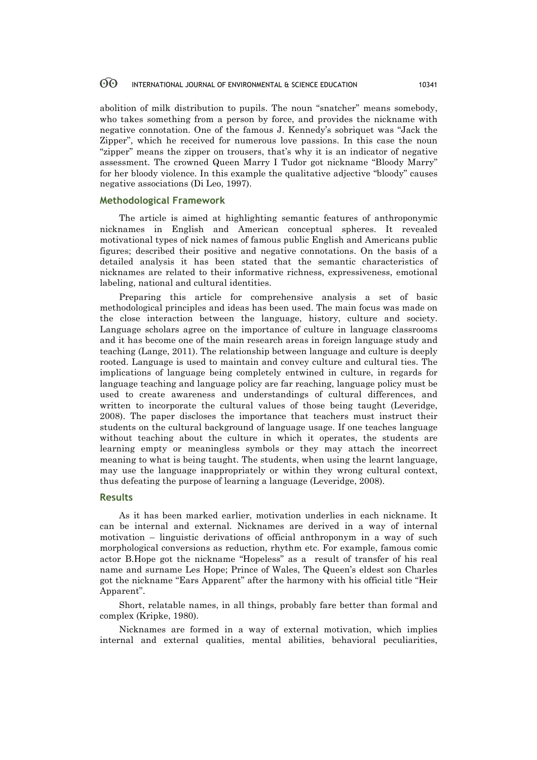#### 60 INTERNATIONAL JOURNAL OF ENVIRONMENTAL & SCIENCE EDUCATION 10341

abolition of milk distribution to pupils. The noun "snatcher" means somebody, who takes something from a person by force, and provides the nickname with negative connotation. One of the famous J. Kennedy's sobriquet was "Jack the Zipper", which he received for numerous love passions. In this case the noun "zipper" means the zipper on trousers, that's why it is an indicator of negative assessment. The crowned Queen Marry I Tudor got nickname "Bloody Marry" for her bloody violence. In this example the qualitative adjective "bloody" causes negative associations (Di Leo, 1997).

#### **Methodological Framework**

The article is aimed at highlighting semantic features of anthroponymic nicknames in English and American conceptual spheres. It revealed motivational types of nick names of famous public English and Americans public figures; described their positive and negative connotations. On the basis of a detailed analysis it has been stated that the semantic characteristics of nicknames are related to their informative richness, expressiveness, emotional labeling, national and cultural identities.

Preparing this article for comprehensive analysis a set of basic methodological principles and ideas has been used. The main focus was made on the close interaction between the language, history, culture and society. Language scholars agree on the importance of culture in language classrooms and it has become one of the main research areas in foreign language study and teaching (Lange, 2011). The relationship between language and culture is deeply rooted. Language is used to maintain and convey culture and cultural ties. The implications of language being completely entwined in culture, in regards for language teaching and language policy are far reaching, language policy must be used to create awareness and understandings of cultural differences, and written to incorporate the cultural values of those being taught (Leveridge, 2008). The paper discloses the importance that teachers must instruct their students on the cultural background of language usage. If one teaches language without teaching about the culture in which it operates, the students are learning empty or meaningless symbols or they may attach the incorrect meaning to what is being taught. The students, when using the learnt language, may use the language inappropriately or within they wrong cultural context, thus defeating the purpose of learning a language (Leveridge, 2008).

### **Results**

As it has been marked earlier, motivation underlies in each nickname. It can be internal and external. Nicknames are derived in a way of internal motivation – linguistic derivations of official anthroponym in a way of such morphological conversions as reduction, rhythm etc. For example, famous comic actor B.Hope got the nickname "Hopeless" as a result of transfer of his real name and surname Les Hope; Prince of Wales, The Queen's eldest son Charles got the nickname "Ears Apparent" after the harmony with his official title "Heir Apparent".

Short, relatable names, in all things, probably fare better than formal and complex (Kripke, 1980).

Nicknames are formed in a way of external motivation, which implies internal and external qualities, mental abilities, behavioral peculiarities,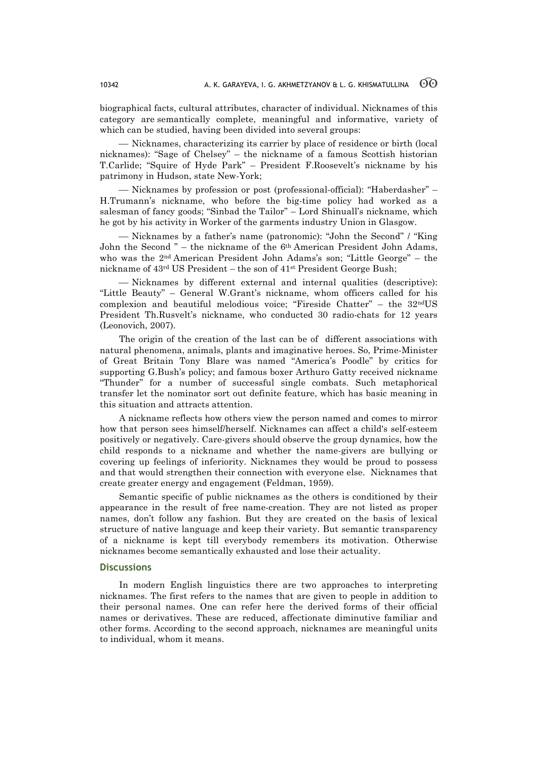biographical facts, cultural attributes, character of individual. Nicknames of this category are semantically complete, meaningful and informative, variety of which can be studied, having been divided into several groups:

¾ Nicknames, characterizing its carrier by place of residence or birth (local nicknames): "Sage of Chelsey" – the nickname of a famous Scottish historian T.Carlide; "Squire of Hyde Park" – President F.Roosevelt's nickname by his patrimony in Hudson, state New-York;

¾ Nicknames by profession or post (professional-official): "Haberdasher" – H.Trumann's nickname, who before the big-time policy had worked as a salesman of fancy goods; "Sinbad the Tailor" – Lord Shinuall's nickname, which he got by his activity in Worker of the garments industry Union in Glasgow.

¾ Nicknames by a father's name (patronomic): "John the Second" / "King John the Second " – the nickname of the 6th American President John Adams, who was the 2nd American President John Adams's son; "Little George" – the nickname of  $43<sup>rd</sup>$  US President – the son of  $41<sup>st</sup>$  President George Bush;

¾ Nicknames by different external and internal qualities (descriptive): "Little Beauty" – General W.Grant's nickname, whom officers called for his complexion and beautiful melodious voice; "Fireside Chatter" – the 32ndUS President Th.Rusvelt's nickname, who conducted 30 radio-chats for 12 years (Leonovich, 2007).

The origin of the creation of the last can be of different associations with natural phenomena, animals, plants and imaginative heroes. So, Prime-Minister of Great Britain Tony Blare was named "America's Poodle" by critics for supporting G.Bush's policy; and famous boxer Arthuro Gatty received nickname "Thunder" for a number of successful single combats. Such metaphorical transfer let the nominator sort out definite feature, which has basic meaning in this situation and attracts attention.

A nickname reflects how others view the person named and comes to mirror how that person sees himself/herself. Nicknames can affect a child's self-esteem positively or negatively. Care-givers should observe the group dynamics, how the child responds to a nickname and whether the name-givers are bullying or covering up feelings of inferiority. Nicknames they would be proud to possess and that would strengthen their connection with everyone else. Nicknames that create greater energy and engagement (Feldman, 1959).

Semantic specific of public nicknames as the others is conditioned by their appearance in the result of free name-creation. They are not listed as proper names, don't follow any fashion. But they are created on the basis of lexical structure of native language and keep their variety. But semantic transparency of a nickname is kept till everybody remembers its motivation. Otherwise nicknames become semantically exhausted and lose their actuality.

# **Discussions**

In modern English linguistics there are two approaches to interpreting nicknames. The first refers to the names that are given to people in addition to their personal names. One can refer here the derived forms of their official names or derivatives. These are reduced, affectionate diminutive familiar and other forms. According to the second approach, nicknames are meaningful units to individual, whom it means.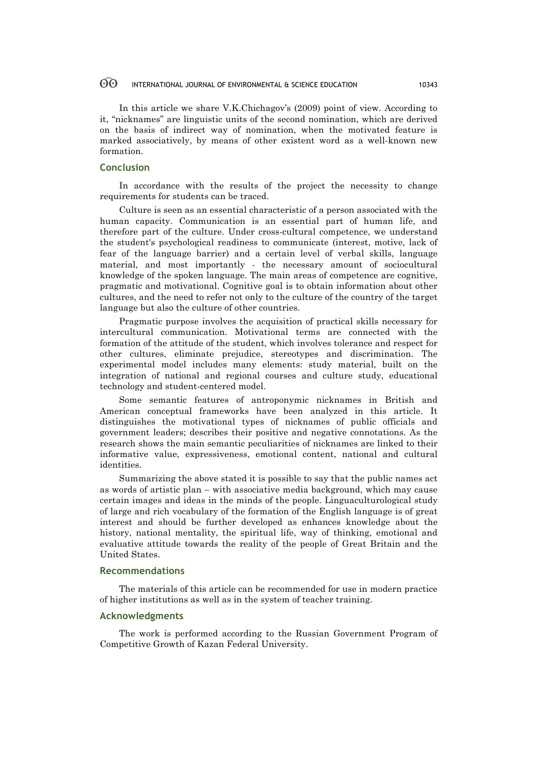#### $\odot$ INTERNATIONAL JOURNAL OF ENVIRONMENTAL & SCIENCE EDUCATION 10343

In this article we share V.K.Chichagov's (2009) point of view. According to it, "nicknames" are linguistic units of the second nomination, which are derived on the basis of indirect way of nomination, when the motivated feature is marked associatively, by means of other existent word as a well-known new formation.

# **Conclusion**

In accordance with the results of the project the necessity to change requirements for students can be traced.

Culture is seen as an essential characteristic of a person associated with the human capacity. Communication is an essential part of human life, and therefore part of the culture. Under cross-cultural competence, we understand the student's psychological readiness to communicate (interest, motive, lack of fear of the language barrier) and a certain level of verbal skills, language material, and most importantly - the necessary amount of sociocultural knowledge of the spoken language. The main areas of competence are cognitive, pragmatic and motivational. Cognitive goal is to obtain information about other cultures, and the need to refer not only to the culture of the country of the target language but also the culture of other countries.

Pragmatic purpose involves the acquisition of practical skills necessary for intercultural communication. Motivational terms are connected with the formation of the attitude of the student, which involves tolerance and respect for other cultures, eliminate prejudice, stereotypes and discrimination. The experimental model includes many elements: study material, built on the integration of national and regional courses and culture study, educational technology and student-centered model.

Some semantic features of antroponymic nicknames in British and American conceptual frameworks have been analyzed in this article. It distinguishes the motivational types of nicknames of public officials and government leaders; describes their positive and negative connotations. As the research shows the main semantic peculiarities of nicknames are linked to their informative value, expressiveness, emotional content, national and cultural identities.

Summarizing the above stated it is possible to say that the public names act as words of artistic plan – with associative media background, which may cause certain images and ideas in the minds of the people. Linguaculturological study of large and rich vocabulary of the formation of the English language is of great interest and should be further developed as enhances knowledge about the history, national mentality, the spiritual life, way of thinking, emotional and evaluative attitude towards the reality of the people of Great Britain and the United States.

# **Recommendations**

The materials of this article can be recommended for use in modern practice of higher institutions as well as in the system of teacher training.

# **Acknowledgments**

The work is performed according to the Russian Government Program of Competitive Growth of Kazan Federal University.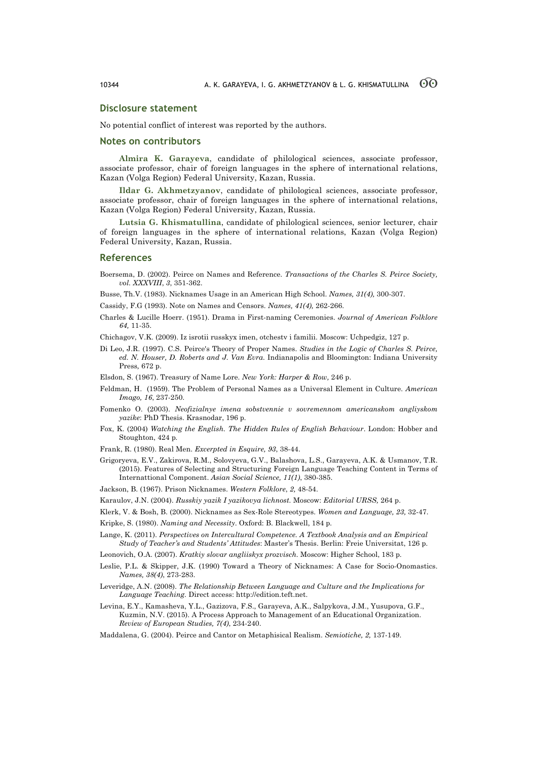#### **Disclosure statement**

No potential conflict of interest was reported by the authors.

#### **Notes on contributors**

**Almira K. Garayeva**, candidate of philological sciences, associate professor, associate professor, chair of foreign languages in the sphere of international relations, Kazan (Volga Region) Federal University, Kazan, Russia.

**Ildar G. Akhmetzyanov**, candidate of philological sciences, associate professor, associate professor, chair of foreign languages in the sphere of international relations, Kazan (Volga Region) Federal University, Kazan, Russia.

**Lutsia G. Khismatullina**, candidate of philological sciences, senior lecturer, chair of foreign languages in the sphere of international relations, Kazan (Volga Region) Federal University, Kazan, Russia.

# **References**

- Boersema, D. (2002). Peirce on Names and Reference. *Transactions of the Charles S. Peirce Society, vol. XXXVIII*, *3*, 351-362.
- Busse, Th.V. (1983). Nicknames Usage in an American High School. *Names, 31(4),* 300-307.

Cassidy, F.G (1993). Note on Names and Censors. *Names, 41(4),* 262-266.

- Charles & Lucille Hoerr. (1951). Drama in First-naming Ceremonies. *Journal of American Folklore 64,* 11-35.
- Chichagov, V.K. (2009). Iz isrotii russkyx imen, otchestv i familii. Moscow: Uchpedgiz, 127 p.
- Di Leo, J.R. (1997). C.S. Peirce's Theory of Proper Names. *Studies in the Logic of Charles S. Peirce, ed. N. Houser, D. Roberts and J. Van Evra.* Indianapolis and Bloomington: Indiana University Press*,* 672 p.
- Elsdon, S. (1967). Treasury of Name Lore. *New York: Harper & Row,* 246 p.
- Feldman, H. (1959). The Problem of Personal Names as a Universal Element in Culture. *American Imago, 16*, 237-250.
- Fomenko O. (2003). *Neofizialnye imena sobstvennie v sovremennom americanskom angliyskom yazike*: PhD Thesis. Krasnodar, 196 p*.*
- Fox, K. (2004) *Watching the English. The Hidden Rules of English Behaviour*. London: Hobber and Stoughton, 424 p*.*
- Frank, R. (1980). Real Men. *Excerpted in Esquire, 93*, 38-44.
- Grigoryeva, E.V., Zakirova, R.M., Solovyeva, G.V., Balashova, L.S., Garayeva, A.K. & Usmanov, T.R. (2015). Features of Selecting and Structuring Foreign Language Teaching Content in Terms of Internattional Component. *Asian Social Science, 11(1)*, 380-385.
- Jackson, B. (1967). Prison Nicknames. *Western Folklore*, *2,* 48-54.
- Karaulov, J.N. (2004). *Russkiy yazik I yazikovya lichnost.* Moscow: *Editorial URSS,* 264 p.
- Klerk, V. & Bosh, B. (2000). Nicknames as Sex-Role Stereotypes. *Women and Language, 23,* 32-47.
- Kripke, S. (1980). *Naming and Necessity*. Oxford: B. Blackwell, 184 p*.*
- Lange, K. (2011). *Perspectives on Intercultural Competence. A Textbook Analysis and an Empirical Study of Teacher's and Students' Attitudes*: Master's Thesis. Berlin: Freie Universitat, 126 p.
- Leonovich, O.A. (2007). *Kratkiy slovar angliiskyx prozvisch.* Moscow: Higher School, 183 p*.*
- Leslie, P.L. & Skipper, J.K. (1990) Toward a Theory of Nicknames: A Case for Socio-Onomastics. *Names, 38(4)*, 273-283.
- Leveridge, A.N. (2008). *The Relationship Between Language and Culture and the Implications for Language Teaching.* Direct access: http://edition.teft.net.
- Levina, E.Y., Kamasheva, Y.L., Gazizova, F.S., Garayeva, A.K., Salpykova, J.M., Yusupova, G.F., Kuzmin, N.V. (2015). A Process Approach to Management of an Educational Organization. *Review of European Studies, 7(4)*, 234-240.
- Maddalena, G. (2004). Peirce and Cantor on Metaphisical Realism. *Semiotiche, 2,* 137-149.